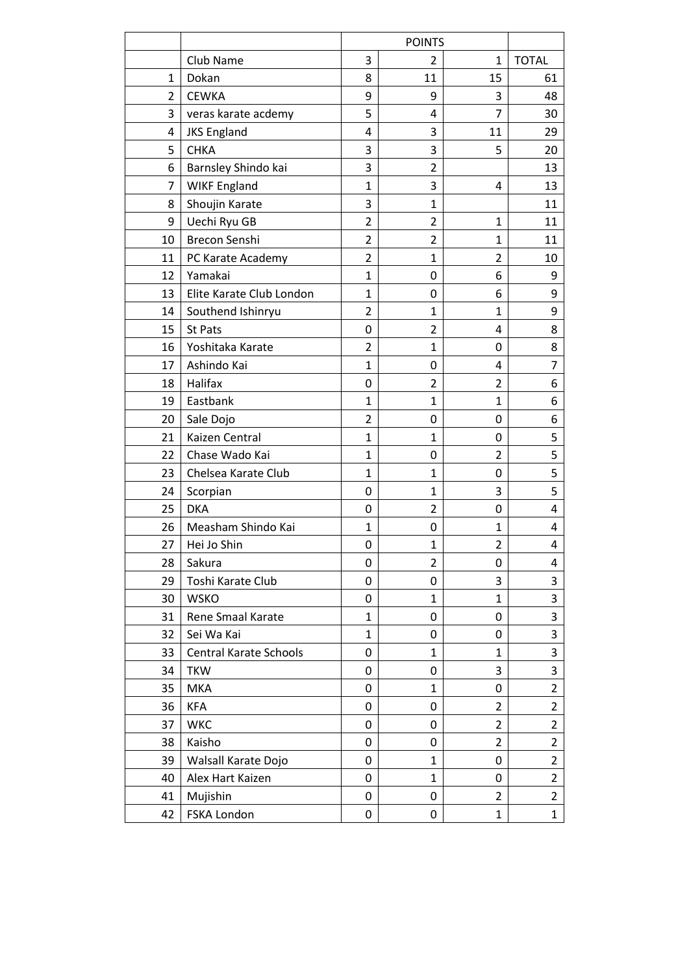|    |                          |                  | <b>POINTS</b>  |                |                |
|----|--------------------------|------------------|----------------|----------------|----------------|
|    | Club Name                | 3                | 2              | 1              | <b>TOTAL</b>   |
| 1  | Dokan                    | 8                | 11             | 15             | 61             |
| 2  | <b>CEWKA</b>             | 9                | 9              | 3              | 48             |
| 3  | veras karate acdemy      | 5                | 4              | $\overline{7}$ | 30             |
| 4  | <b>JKS England</b>       | 4                | 3              | 11             | 29             |
| 5  | <b>CHKA</b>              | 3                | 3              | 5              | 20             |
| 6  | Barnsley Shindo kai      | 3                | $\overline{2}$ |                | 13             |
| 7  | <b>WIKF England</b>      | $\mathbf{1}$     | 3              | 4              | 13             |
| 8  | Shoujin Karate           | 3                | $\mathbf{1}$   |                | 11             |
| 9  | Uechi Ryu GB             | $\overline{2}$   | 2              | 1              | 11             |
| 10 | Brecon Senshi            | $\overline{2}$   | $\overline{2}$ | $\mathbf{1}$   | 11             |
| 11 | PC Karate Academy        | $\overline{2}$   | $\mathbf{1}$   | $\overline{2}$ | 10             |
| 12 | Yamakai                  | $\mathbf{1}$     | 0              | 6              | 9              |
| 13 | Elite Karate Club London | 1                | 0              | 6              | 9              |
| 14 | Southend Ishinryu        | 2                | $\mathbf{1}$   | $\mathbf{1}$   | 9              |
| 15 | <b>St Pats</b>           | 0                | 2              | 4              | 8              |
| 16 | Yoshitaka Karate         | $\overline{2}$   | $\mathbf{1}$   | 0              | 8              |
| 17 | Ashindo Kai              | $\mathbf{1}$     | 0              | 4              | 7              |
| 18 | Halifax                  | 0                | $\overline{2}$ | $\overline{2}$ | 6              |
| 19 | Eastbank                 | $\mathbf{1}$     | $\mathbf{1}$   | $\mathbf{1}$   | 6              |
| 20 | Sale Dojo                | 2                | 0              | 0              | 6              |
| 21 | Kaizen Central           | $\mathbf{1}$     | $\mathbf{1}$   | 0              | 5              |
| 22 | Chase Wado Kai           | $\mathbf{1}$     | 0              | $\overline{2}$ | 5              |
| 23 | Chelsea Karate Club      | $\mathbf{1}$     | 1              | 0              | 5              |
| 24 | Scorpian                 | $\boldsymbol{0}$ | $\mathbf{1}$   | 3              | 5              |
| 25 | <b>DKA</b>               | 0                | $\overline{2}$ | 0              | 4              |
| 26 | Measham Shindo Kai       | $\mathbf{1}$     | 0              | $\mathbf{1}$   | 4              |
| 27 | Hei Jo Shin              | 0                | $\mathbf{1}$   | $\overline{2}$ | 4              |
| 28 | Sakura                   | 0                | $\overline{2}$ | 0              | 4              |
| 29 | Toshi Karate Club        | 0                | 0              | 3              | 3              |
| 30 | <b>WSKO</b>              | 0                | $\mathbf{1}$   | $\mathbf{1}$   | 3              |
| 31 | Rene Smaal Karate        | $\mathbf{1}$     | 0              | 0              | 3              |
| 32 | Sei Wa Kai               | 1                | 0              | 0              | 3              |
| 33 | Central Karate Schools   | 0                | $\mathbf{1}$   | $\mathbf{1}$   | 3              |
| 34 | <b>TKW</b>               | 0                | 0              | 3              | 3              |
| 35 | <b>MKA</b>               | 0                | $\mathbf{1}$   | 0              | $\overline{2}$ |
| 36 | <b>KFA</b>               | 0                | 0              | $\overline{2}$ | $\overline{2}$ |
| 37 | <b>WKC</b>               | 0                | 0              | $\overline{2}$ | $\overline{2}$ |
| 38 | Kaisho                   | 0                | 0              | $\overline{2}$ | $\overline{2}$ |
| 39 | Walsall Karate Dojo      | 0                | $\mathbf{1}$   | 0              | $\overline{2}$ |
| 40 | Alex Hart Kaizen         | 0                | $\mathbf{1}$   | 0              | $\overline{2}$ |
| 41 | Mujishin                 | 0                | 0              | $\overline{2}$ | $\overline{2}$ |
| 42 | FSKA London              | $\boldsymbol{0}$ | 0              | $\mathbf{1}$   | $\mathbf{1}$   |